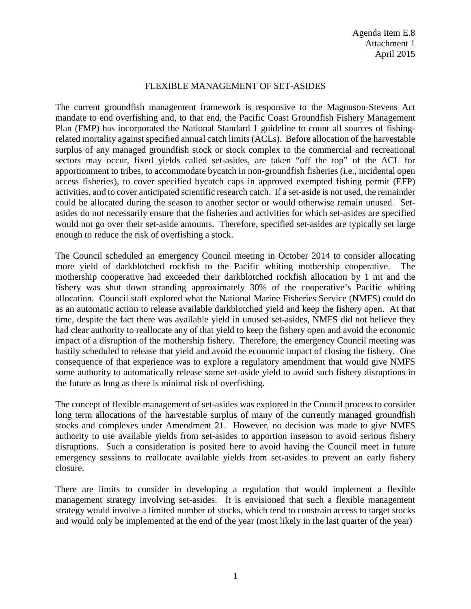## FLEXIBLE MANAGEMENT OF SET-ASIDES

The current groundfish management framework is responsive to the Magnuson-Stevens Act mandate to end overfishing and, to that end, the Pacific Coast Groundfish Fishery Management Plan (FMP) has incorporated the National Standard 1 guideline to count all sources of fishingrelated mortality against specified annual catch limits (ACLs). Before allocation of the harvestable surplus of any managed groundfish stock or stock complex to the commercial and recreational sectors may occur, fixed yields called set-asides, are taken "off the top" of the ACL for apportionment to tribes, to accommodate bycatch in non-groundfish fisheries (i.e., incidental open access fisheries), to cover specified bycatch caps in approved exempted fishing permit (EFP) activities, and to cover anticipated scientific research catch. If a set-aside is not used, the remainder could be allocated during the season to another sector or would otherwise remain unused. Setasides do not necessarily ensure that the fisheries and activities for which set-asides are specified would not go over their set-aside amounts. Therefore, specified set-asides are typically set large enough to reduce the risk of overfishing a stock.

The Council scheduled an emergency Council meeting in October 2014 to consider allocating more yield of darkblotched rockfish to the Pacific whiting mothership cooperative. The mothership cooperative had exceeded their darkblotched rockfish allocation by 1 mt and the fishery was shut down stranding approximately 30% of the cooperative's Pacific whiting allocation. Council staff explored what the National Marine Fisheries Service (NMFS) could do as an automatic action to release available darkblotched yield and keep the fishery open. At that time, despite the fact there was available yield in unused set-asides, NMFS did not believe they had clear authority to reallocate any of that yield to keep the fishery open and avoid the economic impact of a disruption of the mothership fishery. Therefore, the emergency Council meeting was hastily scheduled to release that yield and avoid the economic impact of closing the fishery. One consequence of that experience was to explore a regulatory amendment that would give NMFS some authority to automatically release some set-aside yield to avoid such fishery disruptions in the future as long as there is minimal risk of overfishing.

The concept of flexible management of set-asides was explored in the Council process to consider long term allocations of the harvestable surplus of many of the currently managed groundfish stocks and complexes under Amendment 21. However, no decision was made to give NMFS authority to use available yields from set-asides to apportion inseason to avoid serious fishery disruptions. Such a consideration is posited here to avoid having the Council meet in future emergency sessions to reallocate available yields from set-asides to prevent an early fishery closure.

There are limits to consider in developing a regulation that would implement a flexible management strategy involving set-asides. It is envisioned that such a flexible management strategy would involve a limited number of stocks, which tend to constrain access to target stocks and would only be implemented at the end of the year (most likely in the last quarter of the year)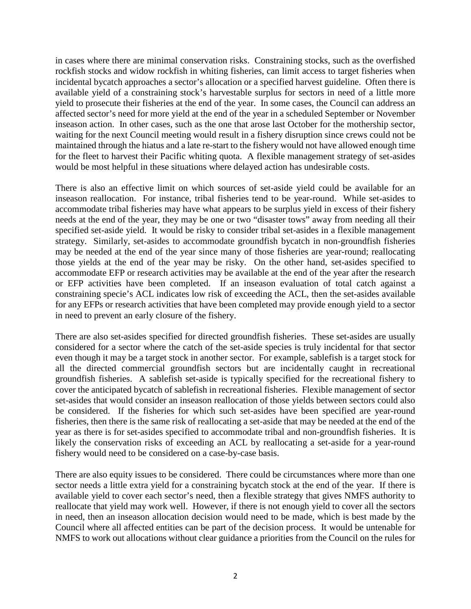in cases where there are minimal conservation risks. Constraining stocks, such as the overfished rockfish stocks and widow rockfish in whiting fisheries, can limit access to target fisheries when incidental bycatch approaches a sector's allocation or a specified harvest guideline. Often there is available yield of a constraining stock's harvestable surplus for sectors in need of a little more yield to prosecute their fisheries at the end of the year. In some cases, the Council can address an affected sector's need for more yield at the end of the year in a scheduled September or November inseason action. In other cases, such as the one that arose last October for the mothership sector, waiting for the next Council meeting would result in a fishery disruption since crews could not be maintained through the hiatus and a late re-start to the fishery would not have allowed enough time for the fleet to harvest their Pacific whiting quota. A flexible management strategy of set-asides would be most helpful in these situations where delayed action has undesirable costs.

There is also an effective limit on which sources of set-aside yield could be available for an inseason reallocation. For instance, tribal fisheries tend to be year-round. While set-asides to accommodate tribal fisheries may have what appears to be surplus yield in excess of their fishery needs at the end of the year, they may be one or two "disaster tows" away from needing all their specified set-aside yield. It would be risky to consider tribal set-asides in a flexible management strategy. Similarly, set-asides to accommodate groundfish bycatch in non-groundfish fisheries may be needed at the end of the year since many of those fisheries are year-round; reallocating those yields at the end of the year may be risky. On the other hand, set-asides specified to accommodate EFP or research activities may be available at the end of the year after the research or EFP activities have been completed. If an inseason evaluation of total catch against a constraining specie's ACL indicates low risk of exceeding the ACL, then the set-asides available for any EFPs or research activities that have been completed may provide enough yield to a sector in need to prevent an early closure of the fishery.

There are also set-asides specified for directed groundfish fisheries. These set-asides are usually considered for a sector where the catch of the set-aside species is truly incidental for that sector even though it may be a target stock in another sector. For example, sablefish is a target stock for all the directed commercial groundfish sectors but are incidentally caught in recreational groundfish fisheries. A sablefish set-aside is typically specified for the recreational fishery to cover the anticipated bycatch of sablefish in recreational fisheries. Flexible management of sector set-asides that would consider an inseason reallocation of those yields between sectors could also be considered. If the fisheries for which such set-asides have been specified are year-round fisheries, then there is the same risk of reallocating a set-aside that may be needed at the end of the year as there is for set-asides specified to accommodate tribal and non-groundfish fisheries. It is likely the conservation risks of exceeding an ACL by reallocating a set-aside for a year-round fishery would need to be considered on a case-by-case basis.

There are also equity issues to be considered. There could be circumstances where more than one sector needs a little extra yield for a constraining bycatch stock at the end of the year. If there is available yield to cover each sector's need, then a flexible strategy that gives NMFS authority to reallocate that yield may work well. However, if there is not enough yield to cover all the sectors in need, then an inseason allocation decision would need to be made, which is best made by the Council where all affected entities can be part of the decision process. It would be untenable for NMFS to work out allocations without clear guidance a priorities from the Council on the rules for